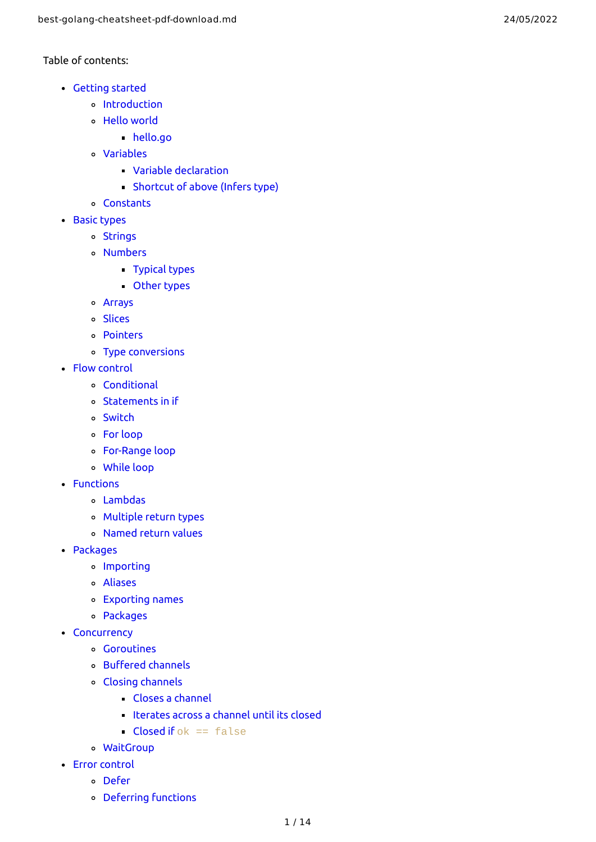## Table of contents:

- [Getting](#page-1-0) started
	- [Introduction](#page-1-1)
	- Hello [world](#page-1-2)
		- [hello.go](#page-1-3)
	- [Variables](#page-1-4)
		- Variable [declaration](#page-2-0)
		- [Shortcut](#page-2-1) of above (Infers type)
	- [Constants](#page-2-2)
- Basic [types](#page-2-3)
	- [Strings](#page-2-4)
	- [Numbers](#page-2-5)
		- [Typical](#page-2-6) types
		- [Other](#page-2-7) types
	- [Arrays](#page-3-0)
	- [Slices](#page-3-1)
	- [Pointers](#page-3-2)
	- Type [conversions](#page-3-3)
- Flow [control](#page-4-0)
	- [Conditional](#page-4-1)
	- [Statements](#page-4-2) in if
	- [Switch](#page-4-3)
	- For [loop](#page-5-0)
	- [For-Range](#page-5-1) loop
	- [While](#page-5-2) loop
- [Functions](#page-5-3)
	- [Lambdas](#page-5-4)
	- [Multiple](#page-5-5) return types
	- [Named](#page-6-0) return values
- [Packages](#page-6-1)
	- **o** [Importing](#page-6-2)
	- [Aliases](#page-6-3)
	- [Exporting](#page-7-0) names
	- Packages
- [Concurrency](#page-7-1)
	- [Goroutines](#page-7-2)
	- [Buffered](#page-8-0) channels
	- Closing [channels](#page-8-1)
		- Closes a [channel](#page-8-2)
		- Iterates across a [channel](#page-8-3) until its closed
		- Closed if  $ok == false$
	- [WaitGroup](#page-8-5)
- Error [control](#page-9-0)
	- [Defer](#page-9-1)
	- [Deferring](#page-9-2) functions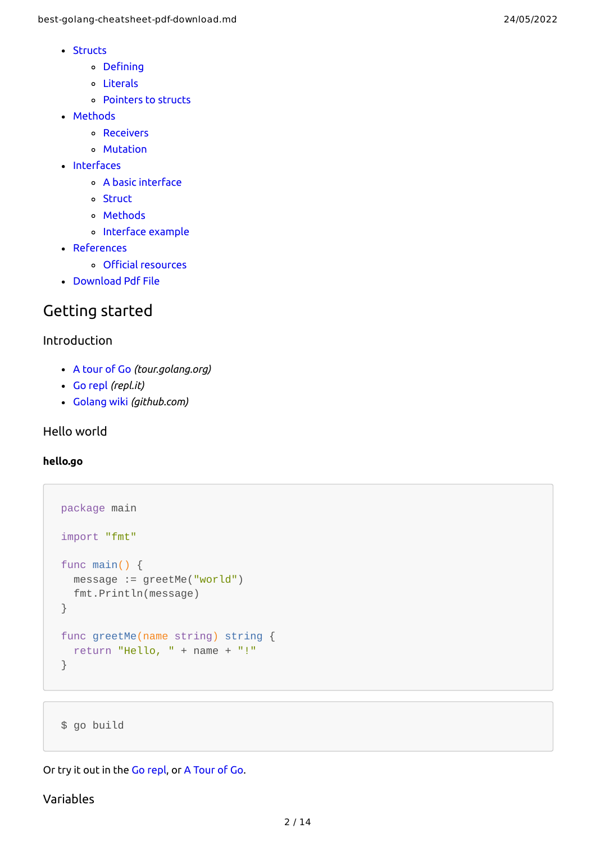- [Structs](#page-10-0)
	- [Defining](#page-10-1)
	- [Literals](#page-10-2)
	- [Pointers](#page-11-0) to structs
- [Methods](#page-11-1)
	- [Receivers](#page-11-2)
	- [Mutation](#page-11-3)
- [Interfaces](#page-12-0)
	- A basic [interface](#page-12-1)
	- [Struct](#page-12-2)
	- Methods
	- [Interface](#page-12-3) example
- [References](#page-12-4)
	- Official [resources](#page-12-5)
- [Download](#page-13-0) Pdf File

# <span id="page-1-0"></span>Getting started

# <span id="page-1-1"></span>Introduction

- A [tour](https://tour.golang.org/welcome/1) of Go *(tour.golang.org)*
- Go [repl](https://repl.it/languages/go) *(repl.it)*
- [Golang](https://github.com/golang/go/wiki/) wiki *(github.com)*

# <span id="page-1-2"></span>Hello world

### <span id="page-1-3"></span>**hello.go**

```
package main
import "fmt"
func main() {
   message := greetMe("world")
   fmt.Println(message)
}
func greetMe(name string) string {
   return "Hello, " + name + "!"
}
```
\$ go build

Or try it out in the Go [repl](https://repl.it/languages/go), or A [Tour](https://tour.golang.org/welcome/1) of Go.

### <span id="page-1-4"></span>Variables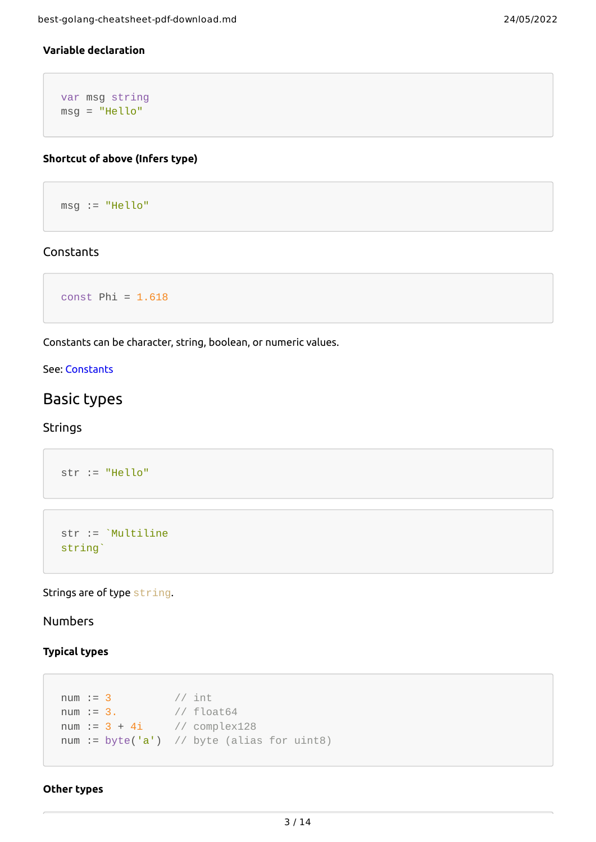## <span id="page-2-0"></span>**Variable declaration**

var msg string msg = "Hello"

### <span id="page-2-1"></span>**Shortcut of above (Infers type)**

msg := "Hello"

### <span id="page-2-2"></span>Constants

```
const Phi = 1.618
```
Constants can be character, string, boolean, or numeric values.

### See: [Constants](https://tour.golang.org/basics/15)

# <span id="page-2-3"></span>Basic types

### <span id="page-2-4"></span>Strings

```
str := "Hello"
```

```
str := `Multiline
string`
```
### Strings are of type string.

# <span id="page-2-5"></span>Numbers

### <span id="page-2-6"></span>**Typical types**

```
num := 3 // int
num := 3. // float64
num := 3 + 4i // complex128
num := byte('a') \frac{1}{2} byte (alias for uint8)
```
#### <span id="page-2-7"></span>**Other types**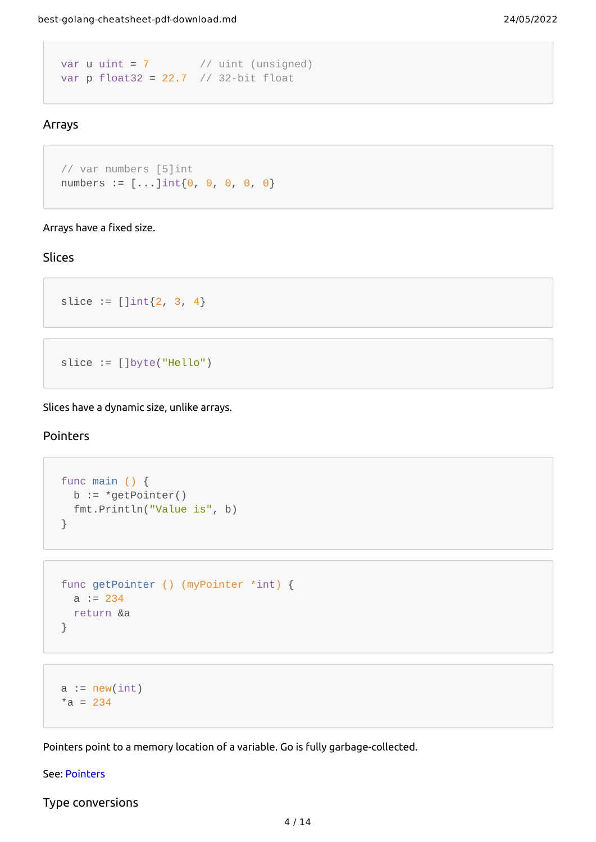```
var u uint = 7 // uint (unsigned)
var p float32 = 22.7 // 32-bit float
```
### <span id="page-3-0"></span>Arrays

```
// var numbers [5]int
numbers := [...]int\{0, 0, 0, 0, 0\}
```
#### Arrays have a fixed size.

## <span id="page-3-1"></span>Slices

```
slice := []int{2, 3, 4}
```

```
slice := []byte("Hello")
```
Slices have a dynamic size, unlike arrays.

### <span id="page-3-2"></span>Pointers

```
func main () {
 b := *getPointer() fmt.Println("Value is", b)
}
```

```
func getPointer () (myPointer *int) {
 a := 234 return &a
}
```

```
a := new(int)*a = 234
```
Pointers point to a memory location of a variable. Go is fully garbage-collected.

#### See: [Pointers](https://tour.golang.org/moretypes/1)

<span id="page-3-3"></span>Type conversions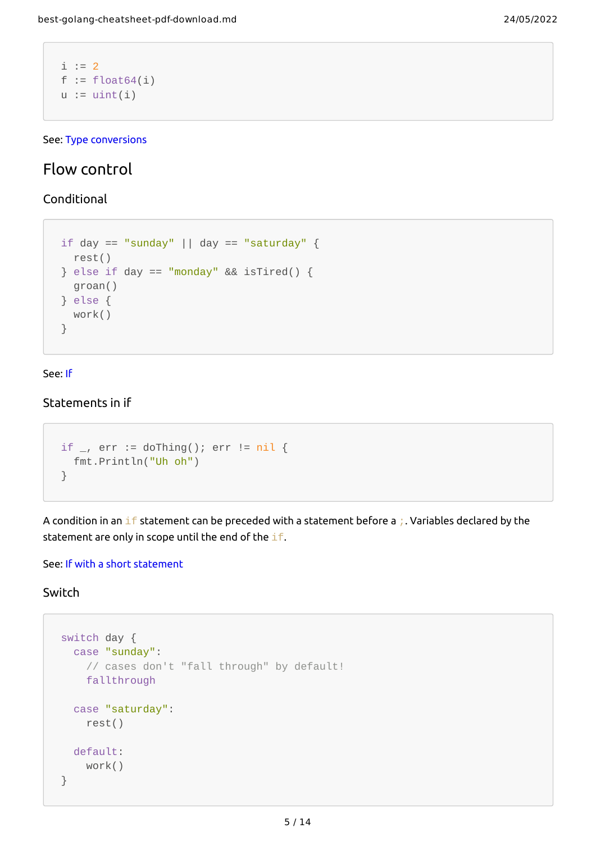```
i := 2f := float64(i)u := uint(i)
```
See: Type [conversions](https://tour.golang.org/basics/13)

# <span id="page-4-0"></span>Flow control

<span id="page-4-1"></span>Conditional

```
if day == "sunday" || day == "saturday" {
  rest()
\} else if day == "monday" && isTired() {
   groan()
} else {
   work()
}
```
#### See: [If](https://tour.golang.org/flowcontrol/5)

### <span id="page-4-2"></span>Statements in if

```
if \overline{\phantom{a}}, err := doThing(); err != nil {
  fmt.Println("Uh oh")
}
```
A condition in an if statement can be preceded with a statement before a ;. Variables declared by the statement are only in scope until the end of the  $if.$ 

### See: If with a short [statement](https://tour.golang.org/flowcontrol/6)

### <span id="page-4-3"></span>Switch

```
switch day {
  case "sunday":
     // cases don't "fall through" by default!
     fallthrough
   case "saturday":
     rest()
   default:
     work()
}
```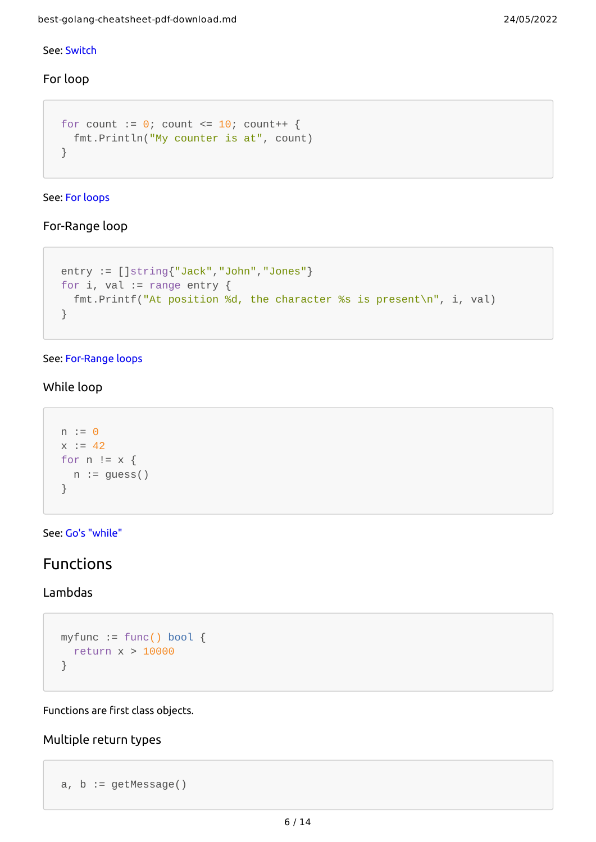### See: [Switch](https://github.com/golang/go/wiki/Switch)

## <span id="page-5-0"></span>For loop

```
for count := \theta; count <= 10; count++ {
  fmt.Println("My counter is at", count)
}
```
### See: For [loops](https://tour.golang.org/flowcontrol/1)

# <span id="page-5-1"></span>For-Range loop

```
entry := []string{"Jack","John","Jones"}
for i, val := range entry {
  fmt.Printf("At position %d, the character %s is present\n", i, val)
}
```
### See: [For-Range](https://gobyexample.com/range) loops

# <span id="page-5-2"></span>While loop

```
n := 0x := 42for n := x {
 n := guess()}
```
See: Go's ["while"](https://tour.golang.org/flowcontrol/3)

# <span id="page-5-3"></span>Functions

# <span id="page-5-4"></span>Lambdas

```
myfunc := func() bool {
  return x > 10000
}
```
Functions are first class objects.

## <span id="page-5-5"></span>Multiple return types

```
a, b := getMessage()
```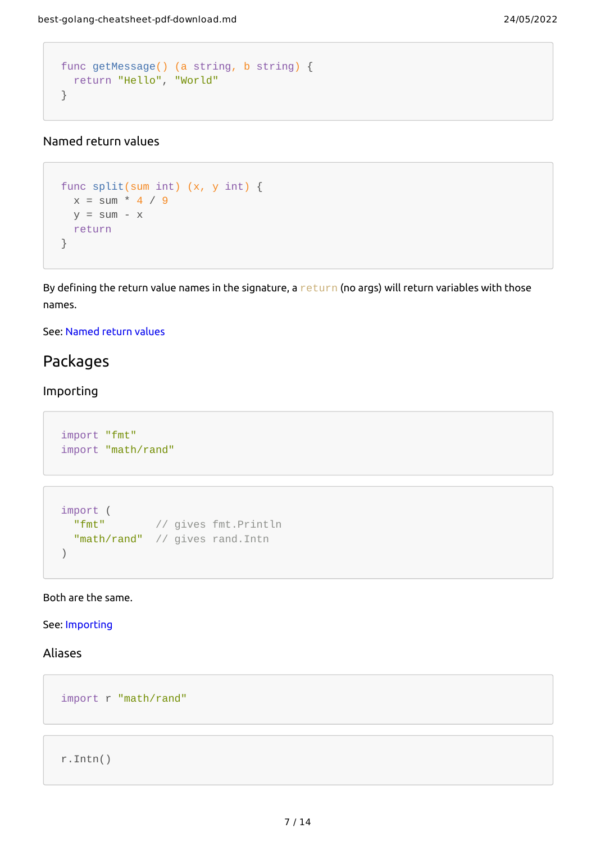```
func getMessage() (a string, b string) {
 return "Hello", "World"
}
```
# <span id="page-6-0"></span>Named return values

```
func split(sum int) (x, y int) {
 x = sum * 4 / 9y = sum - x return
}
```
By defining the return value names in the signature, a return (no args) will return variables with those names.

### See: [Named](https://tour.golang.org/basics/7) return values

# <span id="page-6-1"></span>Packages

## <span id="page-6-2"></span>Importing

```
import "fmt"
import "math/rand"
```

```
import (
  "fmt" // gives fmt.Println
 "math/rand" // gives rand. Intn
)
```
### Both are the same.

### See: [Importing](https://tour.golang.org/basics/1)

# <span id="page-6-3"></span>Aliases

import r "math/rand"

```
r.Intn()
```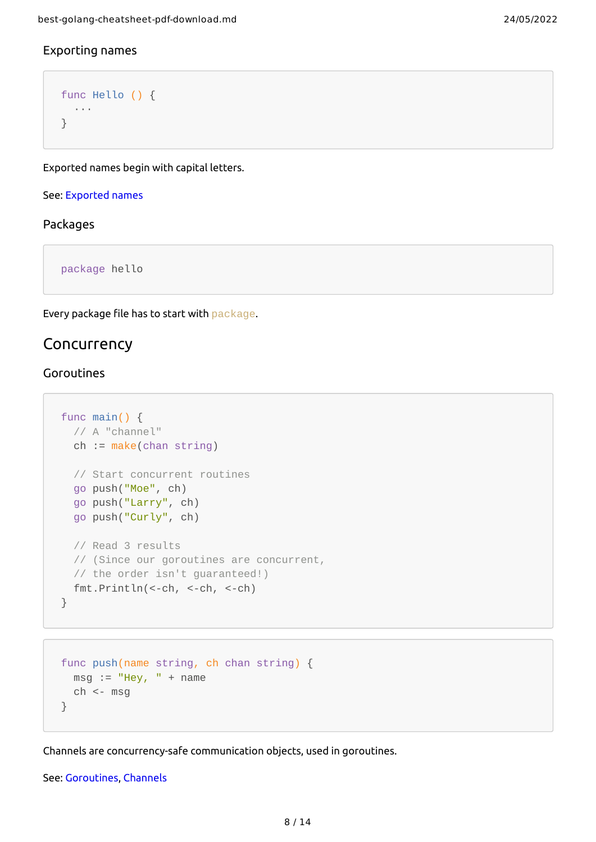### <span id="page-7-0"></span>Exporting names

```
func Hello () {
  ···
}
```
Exported names begin with capital letters.

#### See: [Exported](https://tour.golang.org/basics/3) names

### Packages

package hello

Every package file has to start with package.

# <span id="page-7-1"></span>Concurrency

### <span id="page-7-2"></span>Goroutines

```
func main() {
  // A "channel"
   ch := make(chan string)
   // Start concurrent routines
   go push("Moe", ch)
   go push("Larry", ch)
   go push("Curly", ch)
   // Read 3 results
   // (Since our goroutines are concurrent,
  // the order isn't guaranteed!)
  fmt.Println(<-ch, <-ch, <-ch)
}
```

```
func push(name string, ch chan string) {
 msg := "Hey, " + namech <- msg}
```
Channels are concurrency-safe communication objects, used in goroutines.

### See: [Goroutines](https://tour.golang.org/concurrency/1), [Channels](https://tour.golang.org/concurrency/2)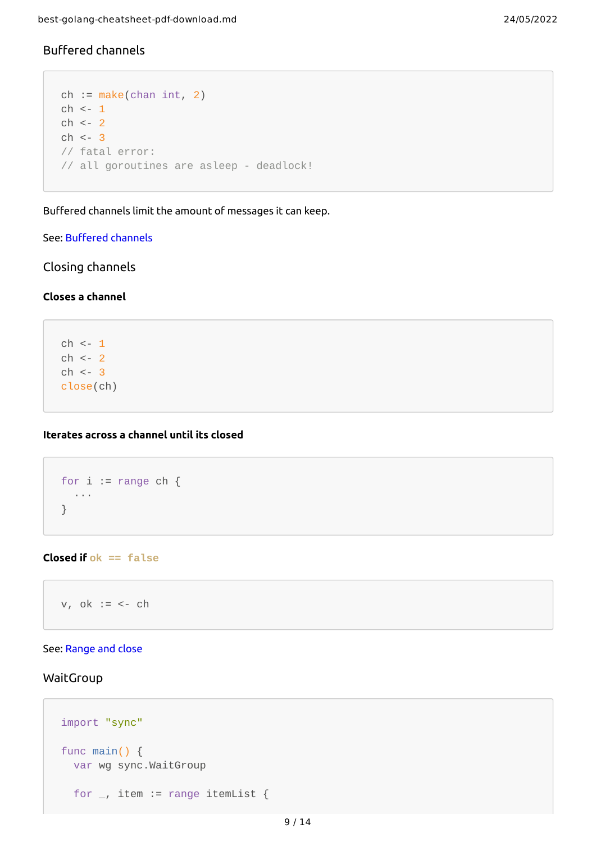# <span id="page-8-0"></span>Buffered channels

```
ch := make(char int, 2)ch <- 1
ch <- 2
ch <- 3
// fatal error:
// all goroutines are asleep - deadlock!
```
Buffered channels limit the amount of messages it can keep.

### See: [Buffered](https://tour.golang.org/concurrency/3) channels

<span id="page-8-1"></span>Closing channels

### <span id="page-8-2"></span>**Closes a channel**

 $ch$  <-  $1$  $ch$  <- 2  $ch < -3$ close(ch)

### <span id="page-8-3"></span>**Iterates across a channel until its closed**

```
for i := range ch {
  ···
}
```
#### <span id="page-8-4"></span>**Closed if ok == false**

 $v, ok := < -ch$ 

#### See: [Range](https://tour.golang.org/concurrency/4) and close

#### <span id="page-8-5"></span>WaitGroup

```
import "sync"
func main() {
  var wg sync.WaitGroup
  for \overline{\phantom{a}}, item := range itemList {
```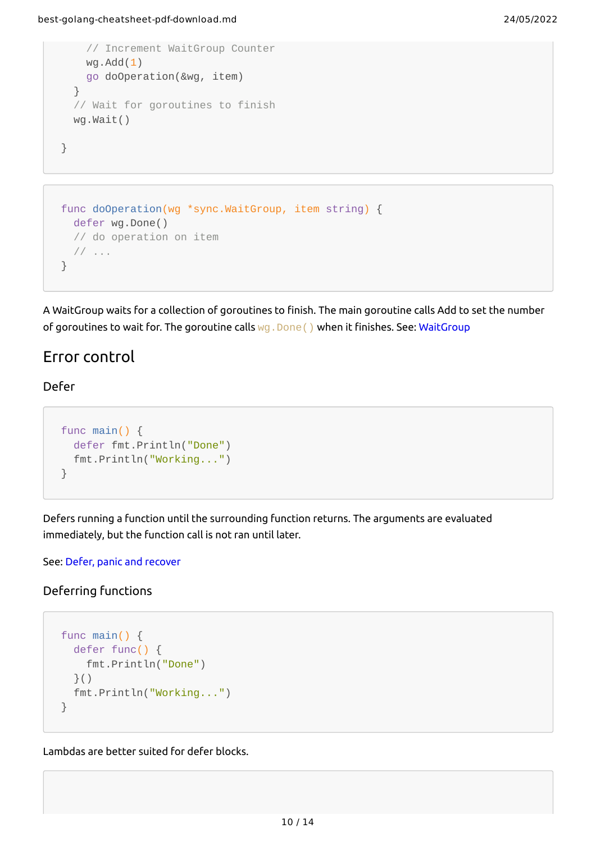```
 // Increment WaitGroup Counter
     wg.Add(1)
     go doOperation(&wg, item)
   }
   // Wait for goroutines to finish
   wg.Wait()
}
```

```
func doOperation(wg *sync.WaitGroup, item string) {
   defer wg.Done()
   // do operation on item
   // ...
}
```
A WaitGroup waits for a collection of goroutines to finish. The main goroutine calls Add to set the number of goroutines to wait for. The goroutine calls wg. Done() when it finishes. See: [WaitGroup](https://golang.org/pkg/sync/#WaitGroup)

# <span id="page-9-0"></span>Error control

# <span id="page-9-1"></span>Defer

```
func main() {
  defer fmt.Println("Done")
  fmt.Println("Working...")
}
```
Defers running a function until the surrounding function returns. The arguments are evaluated immediately, but the function call is not ran until later.

### See: Defer, panic and [recover](https://blog.golang.org/defer-panic-and-recover)

### <span id="page-9-2"></span>Deferring functions

```
func main() {
   defer func() {
     fmt.Println("Done")
   }()
  fmt.Println("Working...")
}
```
Lambdas are better suited for defer blocks.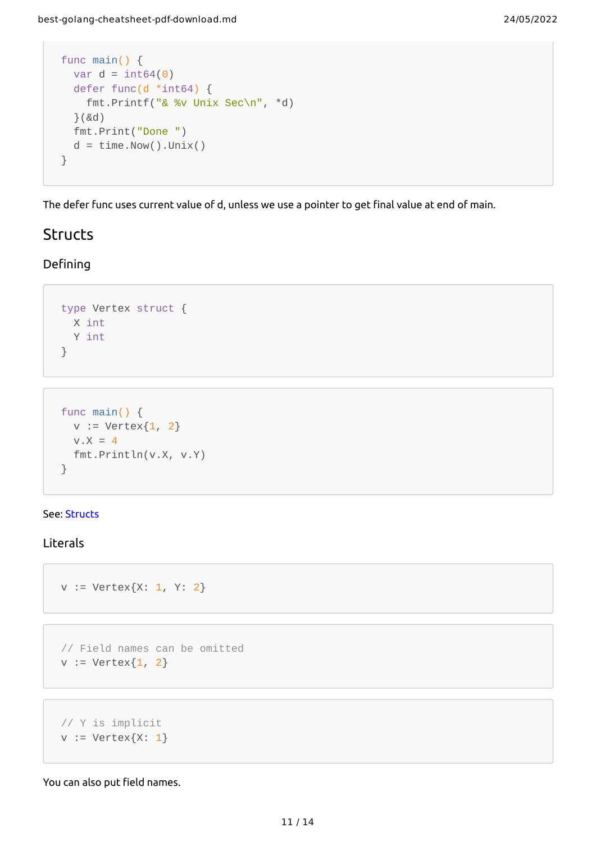```
func main() {
 var d = int64(0) defer func(d *int64) {
    fmt.Printf("& %v Unix Sec\n", *d)
  }(&d)
  fmt.Print("Done ")
 d = time.Now().Unix()}
```
The defer func uses current value of d, unless we use a pointer to get final value at end of main.

# <span id="page-10-0"></span>**Structs**

# <span id="page-10-1"></span>Defining

```
type Vertex struct {
 X int
  Y int
}
```

```
func main() {
 v := Vertex\{1, 2\}V.X = 4 fmt.Println(v.X, v.Y)
}
```
#### See: [Structs](https://tour.golang.org/moretypes/2)

# <span id="page-10-2"></span>Literals

```
v := Vertex{X: 1, Y: 2}
```

```
// Field names can be omitted
v := Vertex{1, 2}
```

```
// Y is implicit
v := Vertex\{X: 1\}
```
You can also put field names.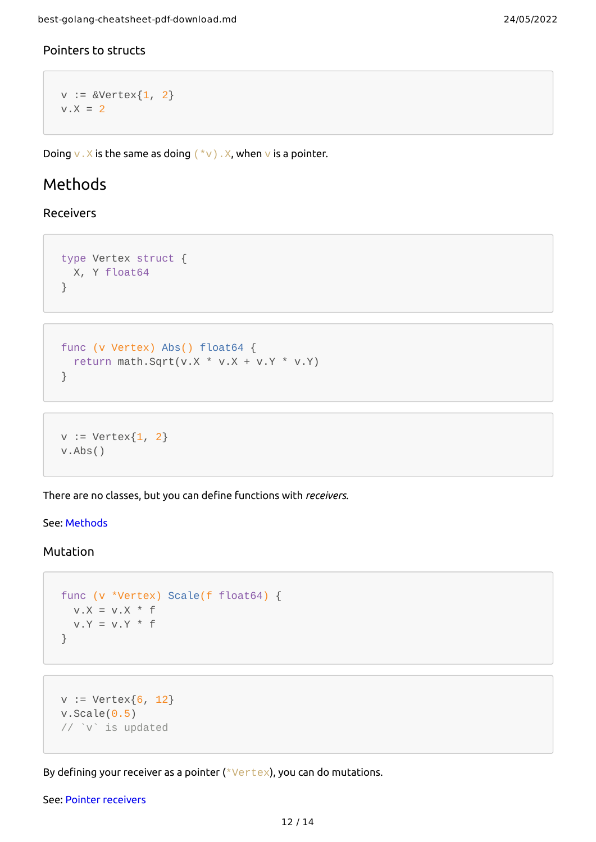## <span id="page-11-0"></span>Pointers to structs

```
v := &Vertex\{1, 2\}v.X = 2
```
Doing v.X is the same as doing  $(*v)$ .X, when v is a pointer.

# <span id="page-11-1"></span>Methods

### <span id="page-11-2"></span>Receivers

```
type Vertex struct {
  X, Y float64
}
```

```
func (v Vertex) Abs() float64 {
 return math.Sqrt(v.X * v.X + v.Y * v.Y)
}
```

```
v := Vertex\{1, 2\}v.Abs()
```
There are no classes, but you can define functions with *receivers*.

#### See: [Methods](https://tour.golang.org/methods/1)

#### <span id="page-11-3"></span>Mutation

```
func (v *Vertex) Scale(f float64) {
 V.X = V.X * fV.Y = V.Y * f}
```

```
v := Vertex\{6, 12\}v.Scale(0.5)// `v` is updated
```
By defining your receiver as a pointer  $(*\vee +\vee *)$ , you can do mutations.

See: Pointer [receivers](https://tour.golang.org/methods/4)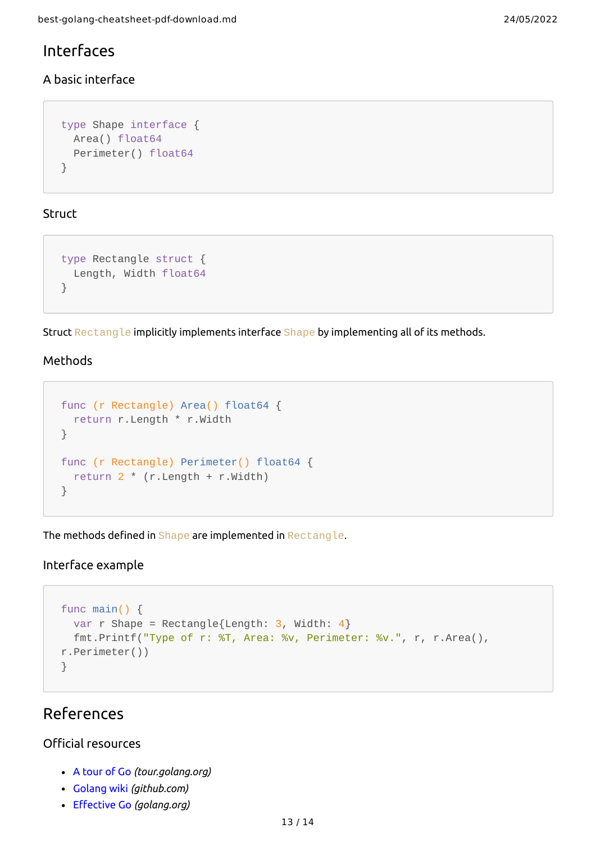# <span id="page-12-0"></span>Interfaces

# <span id="page-12-1"></span>A basic interface

```
type Shape interface {
  Area() float64
   Perimeter() float64
}
```
# <span id="page-12-2"></span>**Struct**

```
type Rectangle struct {
   Length, Width float64
}
```
Struct Rectangle implicitly implements interface Shape by implementing all of its methods.

### Methods

```
func (r Rectangle) Area() float64 {
   return r.Length * r.Width
}
func (r Rectangle) Perimeter() float64 {
   return 2 * (r.Length + r.Width)
}
```
The methods defined in Shape are implemented in Rectangle.

## <span id="page-12-3"></span>Interface example

```
func main() {
 var r Shape = Rectangle{Length: 3, Width: 4}
  fmt.Printf("Type of r: %T, Area: %v, Perimeter: %v.", r, r.Area(),
r.Perimeter())
}
```
# <span id="page-12-4"></span>References

# <span id="page-12-5"></span>Official resources

- A [tour](https://tour.golang.org/welcome/1) of Go *(tour.golang.org)*
- [Golang](https://github.com/golang/go/wiki/) wiki *(github.com)*
- [Effective](https://golang.org/doc/effective_go.html) Go *(golang.org)*